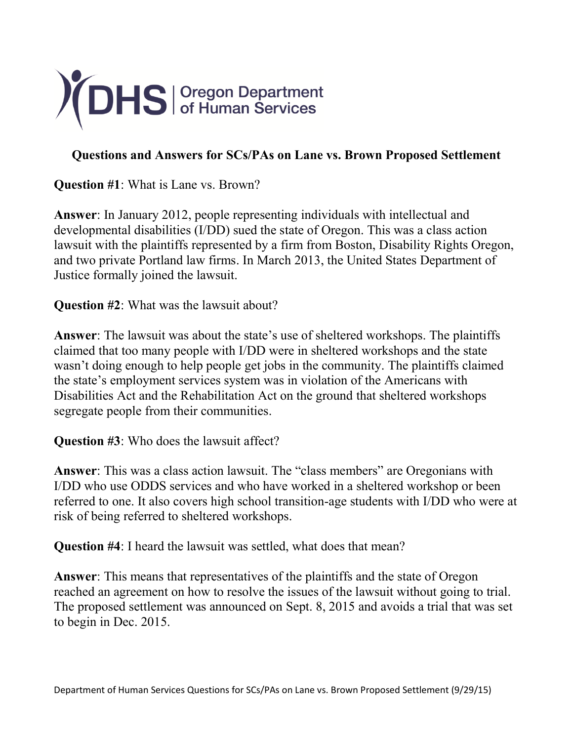

## **Questions and Answers for SCs/PAs on Lane vs. Brown Proposed Settlement**

**Question #1**: What is Lane vs. Brown?

**Answer**: In January 2012, people representing individuals with intellectual and developmental disabilities (I/DD) sued the state of Oregon. This was a class action lawsuit with the plaintiffs represented by a firm from Boston, Disability Rights Oregon, and two private Portland law firms. In March 2013, the United States Department of Justice formally joined the lawsuit.

**Question #2**: What was the lawsuit about?

**Answer**: The lawsuit was about the state's use of sheltered workshops. The plaintiffs claimed that too many people with I/DD were in sheltered workshops and the state wasn't doing enough to help people get jobs in the community. The plaintiffs claimed the state's employment services system was in violation of the Americans with Disabilities Act and the Rehabilitation Act on the ground that sheltered workshops segregate people from their communities.

**Question #3**: Who does the lawsuit affect?

**Answer**: This was a class action lawsuit. The "class members" are Oregonians with I/DD who use ODDS services and who have worked in a sheltered workshop or been referred to one. It also covers high school transition-age students with I/DD who were at risk of being referred to sheltered workshops.

**Question #4**: I heard the lawsuit was settled, what does that mean?

**Answer**: This means that representatives of the plaintiffs and the state of Oregon reached an agreement on how to resolve the issues of the lawsuit without going to trial. The proposed settlement was announced on Sept. 8, 2015 and avoids a trial that was set to begin in Dec. 2015.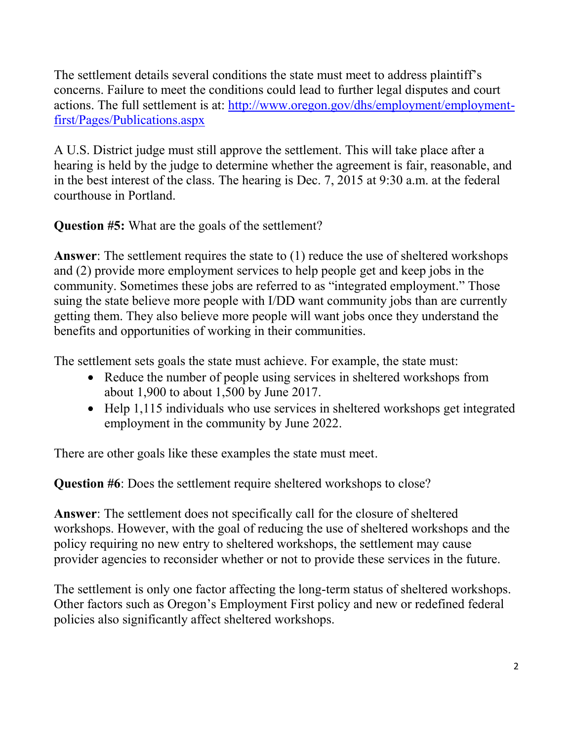The settlement details several conditions the state must meet to address plaintiff's concerns. Failure to meet the conditions could lead to further legal disputes and court actions. The full settlement is at: [http://www.oregon.gov/dhs/employment/employment](http://www.oregon.gov/dhs/employment/employment-first/Pages/Publications.aspx)[first/Pages/Publications.aspx](http://www.oregon.gov/dhs/employment/employment-first/Pages/Publications.aspx)

A U.S. District judge must still approve the settlement. This will take place after a hearing is held by the judge to determine whether the agreement is fair, reasonable, and in the best interest of the class. The hearing is Dec. 7, 2015 at 9:30 a.m. at the federal courthouse in Portland.

**Question #5:** What are the goals of the settlement?

**Answer**: The settlement requires the state to (1) reduce the use of sheltered workshops and (2) provide more employment services to help people get and keep jobs in the community. Sometimes these jobs are referred to as "integrated employment." Those suing the state believe more people with I/DD want community jobs than are currently getting them. They also believe more people will want jobs once they understand the benefits and opportunities of working in their communities.

The settlement sets goals the state must achieve. For example, the state must:

- Reduce the number of people using services in sheltered workshops from about 1,900 to about 1,500 by June 2017.
- Help 1,115 individuals who use services in sheltered workshops get integrated employment in the community by June 2022.

There are other goals like these examples the state must meet.

**Question #6**: Does the settlement require sheltered workshops to close?

**Answer**: The settlement does not specifically call for the closure of sheltered workshops. However, with the goal of reducing the use of sheltered workshops and the policy requiring no new entry to sheltered workshops, the settlement may cause provider agencies to reconsider whether or not to provide these services in the future.

The settlement is only one factor affecting the long-term status of sheltered workshops. Other factors such as Oregon's Employment First policy and new or redefined federal policies also significantly affect sheltered workshops.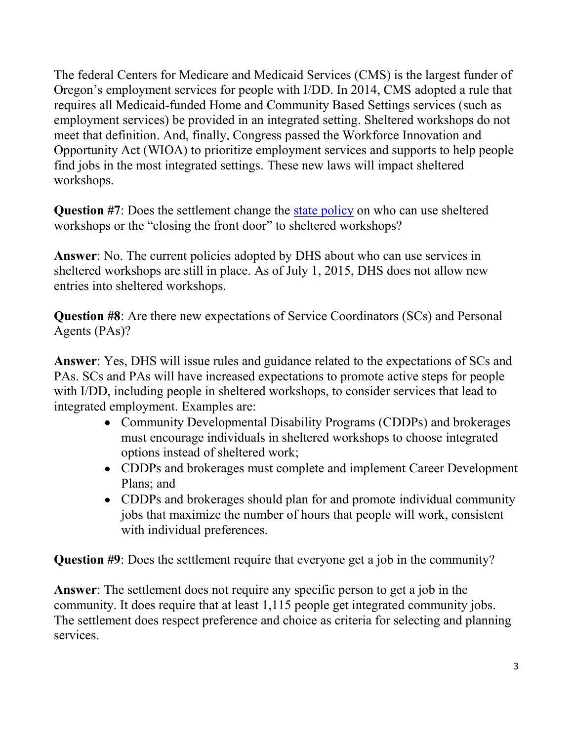The federal Centers for Medicare and Medicaid Services (CMS) is the largest funder of Oregon's employment services for people with I/DD. In 2014, CMS adopted a rule that requires all Medicaid-funded Home and Community Based Settings services (such as employment services) be provided in an integrated setting. Sheltered workshops do not meet that definition. And, finally, Congress passed the Workforce Innovation and Opportunity Act (WIOA) to prioritize employment services and supports to help people find jobs in the most integrated settings. These new laws will impact sheltered workshops.

**Question #7**: Does the settlement change the [state policy](http://www.dhs.state.or.us/policy/spd/transmit/pt/2015/pt15022.pdf) on who can use sheltered workshops or the "closing the front door" to sheltered workshops?

**Answer**: No. The current policies adopted by DHS about who can use services in sheltered workshops are still in place. As of July 1, 2015, DHS does not allow new entries into sheltered workshops.

**Question #8**: Are there new expectations of Service Coordinators (SCs) and Personal Agents (PAs)?

**Answer**: Yes, DHS will issue rules and guidance related to the expectations of SCs and PAs. SCs and PAs will have increased expectations to promote active steps for people with I/DD, including people in sheltered workshops, to consider services that lead to integrated employment. Examples are:

- Community Developmental Disability Programs (CDDPs) and brokerages must encourage individuals in sheltered workshops to choose integrated options instead of sheltered work;
- CDDPs and brokerages must complete and implement Career Development Plans; and
- CDDPs and brokerages should plan for and promote individual community jobs that maximize the number of hours that people will work, consistent with individual preferences.

**Question #9**: Does the settlement require that everyone get a job in the community?

**Answer**: The settlement does not require any specific person to get a job in the community. It does require that at least 1,115 people get integrated community jobs. The settlement does respect preference and choice as criteria for selecting and planning services.